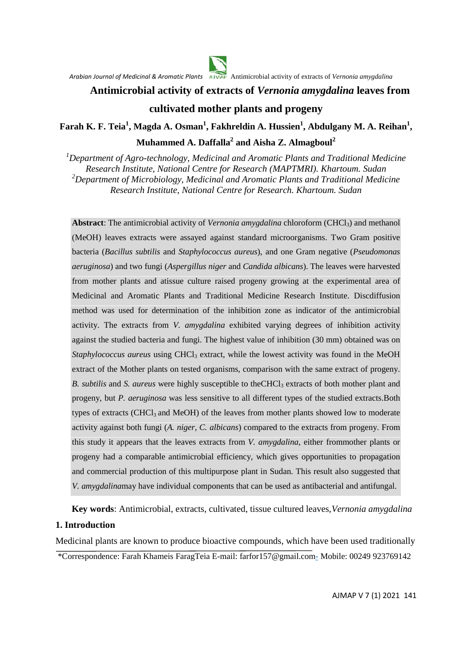

## **Antimicrobial activity of extracts of** *Vernonia amygdalina* **leaves from**

# **cultivated mother plants and progeny**

**Farah K. F. Teia<sup>1</sup> , Magda A. Osman<sup>1</sup> , Fakhreldin A. Hussien 1 , Abdulgany M. A. Reihan<sup>1</sup> , Muhammed A. Daffalla<sup>2</sup> and Aisha Z. Almagboul<sup>2</sup>**

*<sup>1</sup>Department of Agro-technology, Medicinal and Aromatic Plants and Traditional Medicine Research Institute, National Centre for Research (MAPTMRI). Khartoum. Sudan <sup>2</sup>Department of Microbiology, Medicinal and Aromatic Plants and Traditional Medicine Research Institute, National Centre for Research. Khartoum. Sudan*

Abstract: The antimicrobial activity of *Vernonia amygdalina* chloroform (CHCl<sub>3</sub>) and methanol (MeOH) leaves extracts were assayed against standard microorganisms. Two Gram positive bacteria (*Bacillus subtilis* and *Staphylococcus aureus*), and one Gram negative (*Pseudomonas aeruginosa*) and two fungi (*Aspergillus niger* and *Candida albicans*). The leaves were harvested from mother plants and atissue culture raised progeny growing at the experimental area of Medicinal and Aromatic Plants and Traditional Medicine Research Institute. Discdiffusion method was used for determination of the inhibition zone as indicator of the antimicrobial activity. The extracts from *V. amygdalina* exhibited varying degrees of inhibition activity against the studied bacteria and fungi. The highest value of inhibition (30 mm) obtained was on *Staphylococcus aureus* using CHCl<sub>3</sub> extract, while the lowest activity was found in the MeOH extract of the Mother plants on tested organisms, comparison with the same extract of progeny. *B. subtilis* and *S. aureus* were highly susceptible to the CHCl<sub>3</sub> extracts of both mother plant and progeny, but *P. aeruginosa* was less sensitive to all different types of the studied extracts.Both types of extracts (CHCl<sub>3</sub> and MeOH) of the leaves from mother plants showed low to moderate activity against both fungi (*A. niger, C. albicans*) compared to the extracts from progeny. From this study it appears that the leaves extracts from *V. amygdalina*, either frommother plants or progeny had a comparable antimicrobial efficiency, which gives opportunities to propagation and commercial production of this multipurpose plant in Sudan. This result also suggested that *V. amygdalina*may have individual components that can be used as antibacterial and antifungal.

**Key words**: Antimicrobial, extracts, cultivated, tissue cultured leaves,*Vernonia amygdalina*

#### **1. Introduction**

Medicinal plants are known to produce bioactive compounds, which have been used traditionally \*Correspondence: Farah Khameis FaragTeia E-mail: farfor157@gmail.com- Mobile: 00249 923769142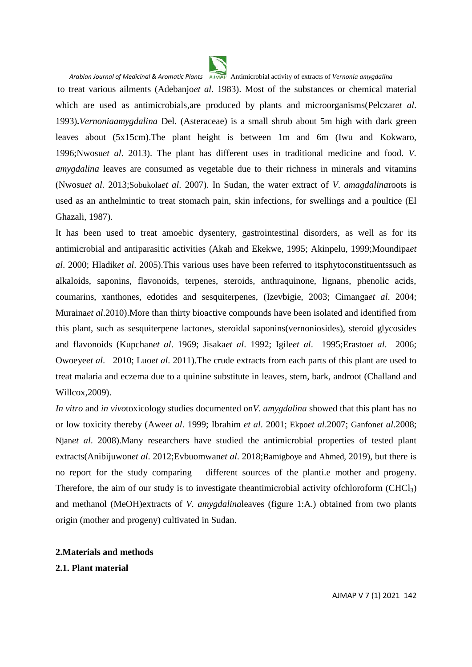

to treat various ailments (Adebanjo*et al*. 1983). Most of the substances or chemical material which are used as antimicrobials,are produced by plants and microorganisms(Pelczar*et al*. 1993)**.***Vernoniaamygdalina* Del. (Asteraceae) is a small shrub about 5m high with dark green leaves about (5x15cm).The plant height is between 1m and 6m (Iwu and Kokwaro, 1996;Nwosu*et al*. 2013). The plant has different uses in traditional medicine and food. *V. amygdalina* leaves are consumed as vegetable due to their richness in minerals and vitamins (Nwosu*et al*. 2013;Sobukola*et al*. 2007). In Sudan, the water extract of *V*. *amagdalina*roots is used as an anthelmintic to treat stomach pain, skin infections, for swellings and a poultice (El Ghazali, 1987).

It has been used to treat amoebic dysentery, gastrointestinal disorders, as well as for its antimicrobial and antiparasitic activities (Akah and Ekekwe, 1995; Akinpelu, 1999;Moundipa*et al*. 2000; Hladik*et al*. 2005).This various uses have been referred to itsphytoconstituentssuch as alkaloids, saponins, flavonoids, terpenes, steroids, anthraquinone, lignans, phenolic acids, coumarins, xanthones, edotides and sesquiterpenes, (Izevbigie, 2003; Cimanga*et al*. 2004; Muraina*et al*.2010).More than thirty bioactive compounds have been isolated and identified from this plant, such as sesquiterpene lactones, steroidal saponins(vernoniosides), steroid glycosides and flavonoids (Kupchan*et al*. 1969; Jisaka*et al*. 1992; Igile*et al*. 1995;Erasto*et al*. 2006; Owoeye*et al*. 2010; Luo*et al*. 2011).The crude extracts from each parts of this plant are used to treat malaria and eczema due to a quinine substitute in leaves, stem, bark, androot (Challand and Willcox,2009).

*In vitro* and *in vivo*toxicology studies documented on*V. amygdalina* showed that this plant has no or low toxicity thereby (Awe*et al*. 1999; Ibrahim *et al*. 2001; Ekpo*et al*.2007; Ganfon*et al*.2008; Njan*et al*. 2008).Many researchers have studied the antimicrobial properties of tested plant extracts(Anibijuwon*et al*. 2012;Evbuomwan*et al*. 2018;Bamigboye and Ahmed, 2019), but there is no report for the study comparing different sources of the planti.e mother and progeny. Therefore, the aim of our study is to investigate theantimicrobial activity ofchloroform (CHCl<sub>3</sub>) and methanol (MeOH)extracts of *V. amygdalina*leaves (figure 1:A.) obtained from two plants origin (mother and progeny) cultivated in Sudan.

#### **2.Materials and methods**

**2.1. Plant material**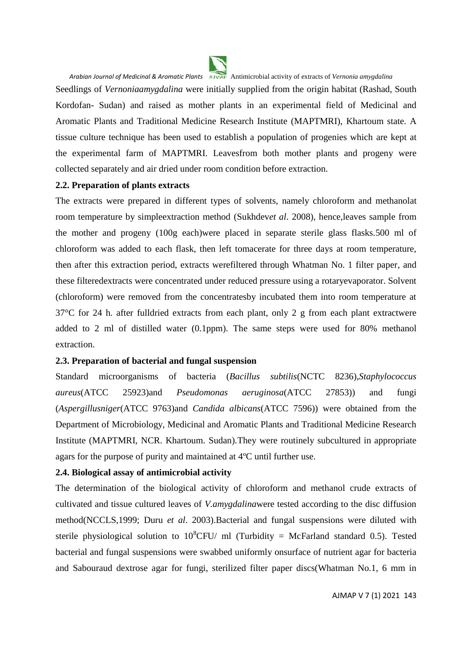

Seedlings of *Vernoniaamygdalina* were initially supplied from the origin habitat (Rashad, South Kordofan- Sudan) and raised as mother plants in an experimental field of Medicinal and Aromatic Plants and Traditional Medicine Research Institute (MAPTMRI), Khartoum state. A tissue culture technique has been used to establish a population of progenies which are kept at the experimental farm of MAPTMRI. Leavesfrom both mother plants and progeny were collected separately and air dried under room condition before extraction.

#### **2.2. Preparation of plants extracts**

The extracts were prepared in different types of solvents, namely chloroform and methanolat room temperature by simpleextraction method (Sukhdev*et al*. 2008), hence,leaves sample from the mother and progeny (100g each)were placed in separate sterile glass flasks.500 ml of chloroform was added to each flask, then left tomacerate for three days at room temperature, then after this extraction period, extracts werefiltered through Whatman No. 1 filter paper, and these filteredextracts were concentrated under reduced pressure using a rotaryevaporator. Solvent (chloroform) were removed from the concentratesby incubated them into room temperature at 37°C for 24 h. after fulldried extracts from each plant, only 2 g from each plant extractwere added to 2 ml of distilled water (0.1ppm). The same steps were used for 80% methanol extraction.

#### **2.3. Preparation of bacterial and fungal suspension**

Standard microorganisms of bacteria (*Bacillus subtilis*(NCTC 8236),*Staphylococcus aureus*(ATCC 25923)and *Pseudomonas aeruginosa*(ATCC 27853)) and fungi (*Aspergillusniger*(ATCC 9763)and *Candida albicans*(ATCC 7596)) were obtained from the Department of Microbiology, Medicinal and Aromatic Plants and Traditional Medicine Research Institute (MAPTMRI, NCR. Khartoum. Sudan).They were routinely subcultured in appropriate agars for the purpose of purity and maintained at 4ºC until further use.

## **2.4. Biological assay of antimicrobial activity**

The determination of the biological activity of chloroform and methanol crude extracts of cultivated and tissue cultured leaves of *V.amygdalina*were tested according to the disc diffusion method(NCCLS,1999; Duru *et al*. 2003).Bacterial and fungal suspensions were diluted with sterile physiological solution to  $10^8$ CFU/ ml (Turbidity = McFarland standard 0.5). Tested bacterial and fungal suspensions were swabbed uniformly onsurface of nutrient agar for bacteria and Sabouraud dextrose agar for fungi, sterilized filter paper discs(Whatman No.1, 6 mm in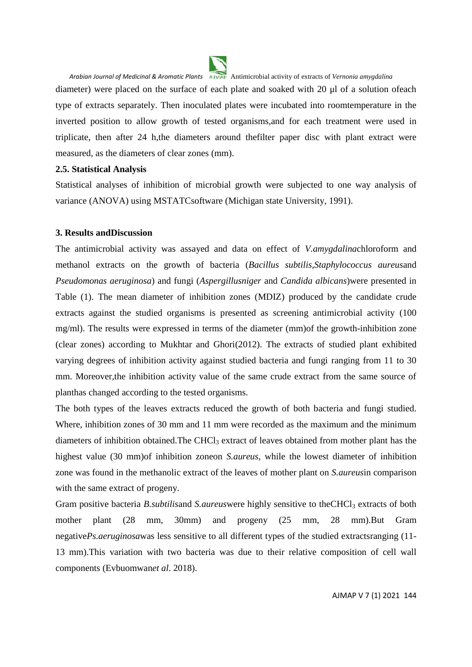

*Arabian Journal of Medicinal & Aromatic Plants* Antimicrobial activity of extracts of *Vernonia amygdalina* diameter) were placed on the surface of each plate and soaked with 20 μl of a solution ofeach type of extracts separately. Then inoculated plates were incubated into roomtemperature in the inverted position to allow growth of tested organisms,and for each treatment were used in triplicate, then after 24 h,the diameters around thefilter paper disc with plant extract were measured, as the diameters of clear zones (mm).

#### **2.5. Statistical Analysis**

Statistical analyses of inhibition of microbial growth were subjected to one way analysis of variance (ANOVA) using MSTATCsoftware (Michigan state University, 1991).

#### **3. Results andDiscussion**

The antimicrobial activity was assayed and data on effect of *V.amygdalina*chloroform and methanol extracts on the growth of bacteria (*Bacillus subtilis*,*Staphylococcus aureus*and *Pseudomonas aeruginosa*) and fungi (*Aspergillusniger* and *Candida albicans*)were presented in Table (1). The mean diameter of inhibition zones (MDIZ) produced by the candidate crude extracts against the studied organisms is presented as screening antimicrobial activity (100 mg/ml). The results were expressed in terms of the diameter (mm)of the growth-inhibition zone (clear zones) according to Mukhtar and Ghori(2012). The extracts of studied plant exhibited varying degrees of inhibition activity against studied bacteria and fungi ranging from 11 to 30 mm. Moreover,the inhibition activity value of the same crude extract from the same source of planthas changed according to the tested organisms.

The both types of the leaves extracts reduced the growth of both bacteria and fungi studied. Where, inhibition zones of 30 mm and 11 mm were recorded as the maximum and the minimum diameters of inhibition obtained. The CHCl<sub>3</sub> extract of leaves obtained from mother plant has the highest value (30 mm)of inhibition zoneon *S.aureus*, while the lowest diameter of inhibition zone was found in the methanolic extract of the leaves of mother plant on *S.aureus*in comparison with the same extract of progeny.

Gram positive bacteria *B.subtilisand S.aureus* were highly sensitive to the CHCl<sub>3</sub> extracts of both mother plant (28 mm, 30mm) and progeny (25 mm, 28 mm).But Gram negative*Ps.aeruginosa*was less sensitive to all different types of the studied extractsranging (11- 13 mm).This variation with two bacteria was due to their relative composition of cell wall components (Evbuomwan*et al*. 2018).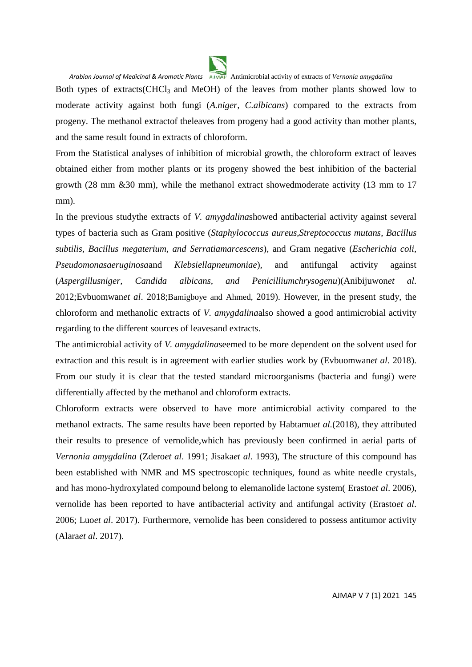

*Arabian Journal of Medicinal & Aromatic Plants* Antimicrobial activity of extracts of *Vernonia amygdalina* Both types of extracts(CHCl<sub>3</sub> and MeOH) of the leaves from mother plants showed low to moderate activity against both fungi (*A.niger, C.albicans*) compared to the extracts from progeny. The methanol extractof theleaves from progeny had a good activity than mother plants, and the same result found in extracts of chloroform.

From the Statistical analyses of inhibition of microbial growth, the chloroform extract of leaves obtained either from mother plants or its progeny showed the best inhibition of the bacterial growth (28 mm &30 mm), while the methanol extract showedmoderate activity (13 mm to 17 mm).

In the previous studythe extracts of *V. amygdalina*showed antibacterial activity against several types of bacteria such as Gram positive (*Staphylococcus aureus,Streptococcus mutans*, *Bacillus subtilis, Bacillus megaterium, and Serratiamarcescens*), and Gram negative (*Escherichia coli*, *Pseudomonasaeruginosa*and *Klebsiellapneumoniae*)*,* and antifungal activity against (*Aspergillusniger, Candida albicans, and Penicilliumchrysogenu*)(Anibijuwon*et al*. 2012;Evbuomwan*et al*. 2018;Bamigboye and Ahmed, 2019). However, in the present study, the chloroform and methanolic extracts of *V. amygdalina*also showed a good antimicrobial activity regarding to the different sources of leavesand extracts.

The antimicrobial activity of *V. amygdalina*seemed to be more dependent on the solvent used for extraction and this result is in agreement with earlier studies work by (Evbuomwan*et al*. 2018). From our study it is clear that the tested standard microorganisms (bacteria and fungi) were differentially affected by the methanol and chloroform extracts.

Chloroform extracts were observed to have more antimicrobial activity compared to the methanol extracts. The same results have been reported by Habtamu*et al.*(2018), they attributed their results to presence of vernolide,which has previously been confirmed in aerial parts of *Vernonia amygdalina* (Zdero*et al*. 1991; Jisaka*et al*. 1993), The structure of this compound has been established with NMR and MS spectroscopic techniques, found as white needle crystals, and has mono-hydroxylated compound belong to elemanolide lactone system( Erasto*et al*. 2006), vernolide has been reported to have antibacterial activity and antifungal activity (Erasto*et al*. 2006; Luo*et al*. 2017). Furthermore, vernolide has been considered to possess antitumor activity (Alara*et al*. 2017).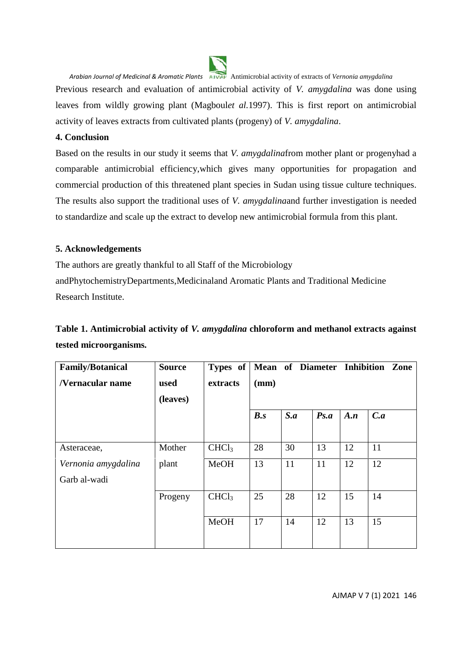

Previous research and evaluation of antimicrobial activity of *V. amygdalina* was done using leaves from wildly growing plant (Magboul*et al.*1997). This is first report on antimicrobial activity of leaves extracts from cultivated plants (progeny) of *V. amygdalina*.

### **4. Conclusion**

Based on the results in our study it seems that *V. amygdalina*from mother plant or progenyhad a comparable antimicrobial efficiency,which gives many opportunities for propagation and commercial production of this threatened plant species in Sudan using tissue culture techniques. The results also support the traditional uses of *V. amygdalina*and further investigation is needed to standardize and scale up the extract to develop new antimicrobial formula from this plant.

#### **5. Acknowledgements**

The authors are greatly thankful to all Staff of the Microbiology andPhytochemistryDepartments,Medicinaland Aromatic Plants and Traditional Medicine Research Institute.

# **Table 1. Antimicrobial activity of** *V. amygdalina* **chloroform and methanol extracts against tested microorganisms***.*

| <b>Family/Botanical</b> | <b>Source</b> | Types of          |      |     |      |     | Mean of Diameter Inhibition Zone |
|-------------------------|---------------|-------------------|------|-----|------|-----|----------------------------------|
| /Vernacular name        | used          | extracts          | (mm) |     |      |     |                                  |
|                         | (leaves)      |                   |      |     |      |     |                                  |
|                         |               |                   | B.s  | S.a | Ps.a | A.n | C.a                              |
| Asteraceae,             | Mother        | CHCl <sub>3</sub> | 28   | 30  | 13   | 12  | 11                               |
| Vernonia amygdalina     | plant         | MeOH              | 13   | 11  | 11   | 12  | 12                               |
| Garb al-wadi            |               |                   |      |     |      |     |                                  |
|                         | Progeny       | CHCl <sub>3</sub> | 25   | 28  | 12   | 15  | 14                               |
|                         |               | <b>MeOH</b>       | 17   | 14  | 12   | 13  | 15                               |
|                         |               |                   |      |     |      |     |                                  |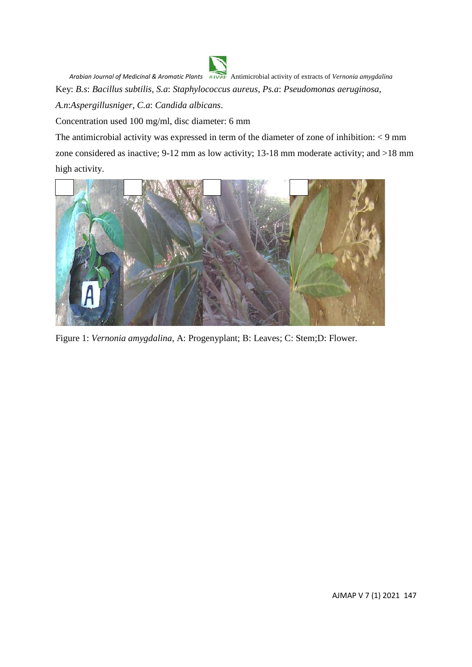*Arabian Journal of Medicinal & Aromatic Plants* Antimicrobial activity of extracts of *Vernonia amygdalina* Key: *B.s*: *Bacillus subtilis*, *S.a*: *Staphylococcus aureus*, *Ps.a*: *Pseudomonas aeruginosa*, *A.n*:*Aspergillusniger*, *C.a*: *Candida albicans*.

Concentration used 100 mg/ml, disc diameter: 6 mm

The antimicrobial activity was expressed in term of the diameter of zone of inhibition: < 9 mm zone considered as inactive; 9-12 mm as low activity; 13-18 mm moderate activity; and >18 mm high activity.



Figure 1: *Vernonia amygdalina*, A: Progenyplant; B: Leaves; C: Stem;D: Flower.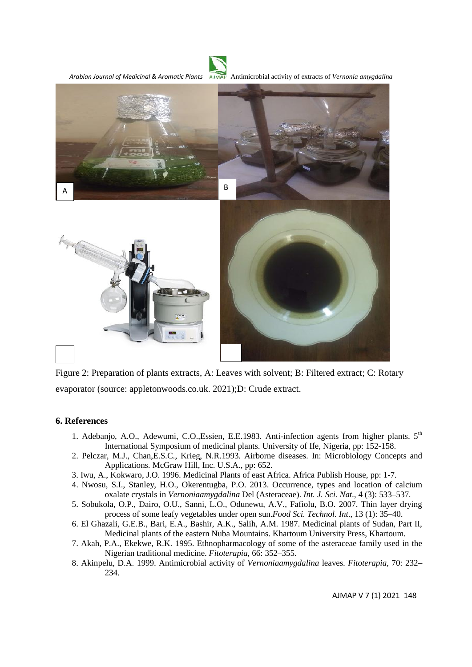

Figure 2: Preparation of plants extracts, A: Leaves with solvent; B: Filtered extract; C: Rotary evaporator (source: appletonwoods.co.uk. 2021);D: Crude extract.

#### **6. References**

- 1. Adebanjo, A.O., Adewumi, C.O.,Essien, E.E.1983. Anti-infection agents from higher plants.  $5<sup>th</sup>$ International Symposium of medicinal plants. University of Ife, Nigeria, pp: 152-158.
- 2. Pelczar, M.J., Chan,E.S.C., Krieg, N.R.1993. Airborne diseases. In: Microbiology Concepts and Applications. McGraw Hill, Inc. U.S.A., pp: 652.
- 3. Iwu, A., Kokwaro, J.O. 1996. Medicinal Plants of east Africa. Africa Publish House, pp: 1-7.
- 4. Nwosu, S.I., Stanley, H.O., Okerentugba, P.O. 2013. Occurrence, types and location of calcium oxalate crystals in *Vernoniaamygdalina* Del (Asteraceae). *Int. J. Sci. Nat*., 4 (3): 533–537.
- 5. Sobukola, O.P., Dairo, O.U., Sanni, L.O., Odunewu, A.V., Fafiolu, B.O. 2007. Thin layer drying process of some leafy vegetables under open sun.*Food Sci. Technol. Int*., 13 (1): 35–40.
- 6. El Ghazali, G.E.B., Bari, E.A., Bashir, A.K., Salih, A.M. 1987. Medicinal plants of Sudan, Part II, Medicinal plants of the eastern Nuba Mountains. Khartoum University Press, Khartoum.
- 7. Akah, P.A., Ekekwe, R.K. 1995. Ethnopharmacology of some of the asteraceae family used in the Nigerian traditional medicine. *Fitoterapia*, 66: 352–355.
- 8. Akinpelu, D.A. 1999. Antimicrobial activity of *Vernoniaamygdalina* leaves. *Fitoterapia*, 70: 232– 234.

AJMAP V 7 (1) 2021 148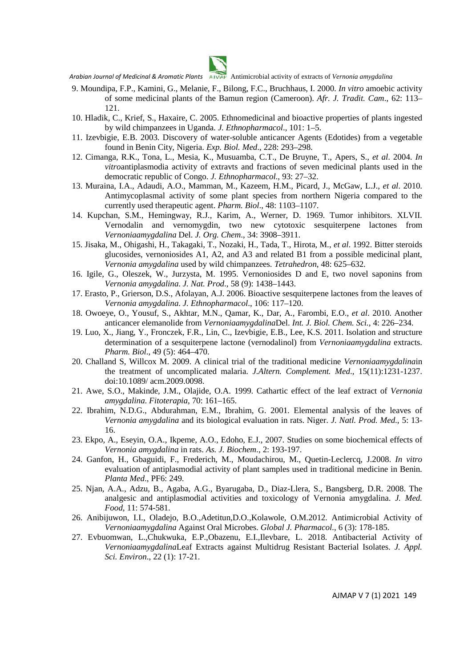- 9. Moundipa, F.P., Kamini, G., Melanie, F., Bilong, F.C., Bruchhaus, I. 2000. *In vitro* amoebic activity of some medicinal plants of the Bamun region (Cameroon). *Afr. J. Tradit. Cam*., 62: 113– 121.
- 10. Hladik, C., Krief, S., Haxaire, C. 2005. Ethnomedicinal and bioactive properties of plants ingested by wild chimpanzees in Uganda. *J. Ethnopharmacol*., 101: 1–5.
- 11. Izevbigie, E.B. 2003. Discovery of water-soluble anticancer Agents (Edotides) from a vegetable found in Benin City, Nigeria. *Exp. Biol. Med*., 228: 293–298.
- 12. Cimanga, R.K., Tona, L., Mesia, K., Musuamba, C.T., De Bruyne, T., Apers, S., *et al*. 2004. *In vitro*antiplasmodia activity of extravts and fractions of seven medicinal plants used in the democratic republic of Congo. *J. Ethnopharmacol*., 93: 27–32.
- 13. Muraina, I.A., Adaudi, A.O., Mamman, M., Kazeem, H.M., Picard, J., McGaw, L.J., *et al*. 2010. Antimycoplasmal activity of some plant species from northern Nigeria compared to the currently used therapeutic agent. *Pharm. Biol*., 48: 1103–1107.
- 14. Kupchan, S.M., Hemingway, R.J., Karim, A., Werner, D. 1969. Tumor inhibitors. XLVII. Vernodalin and vernomygdin, two new cytotoxic sesquiterpene lactones from *Vernoniaamygdalina* Del. *J. Org. Chem*., 34: 3908–3911.
- 15. Jisaka, M., Ohigashi, H., Takagaki, T., Nozaki, H., Tada, T., Hirota, M., *et al*. 1992. Bitter steroids glucosides, vernoniosides A1, A2, and A3 and related B1 from a possible medicinal plant, *Vernonia amygdalina* used by wild chimpanzees. *Tetrahedron*, 48: 625–632.
- 16. Igile, G., Oleszek, W., Jurzysta, M. 1995. Vernoniosides D and E, two novel saponins from *Vernonia amygdalina*. *J. Nat. Prod*., 58 (9): 1438–1443.
- 17. Erasto, P., Grierson, D.S., Afolayan, A.J. 2006. Bioactive sesquiterpene lactones from the leaves of *Vernonia amygdalina*. *J. Ethnopharmacol*., 106: 117–120.
- 18. Owoeye, O., Yousuf, S., Akhtar, M.N., Qamar, K., Dar, A., Farombi, E.O., *et al*. 2010. Another anticancer elemanolide from *Vernoniaamygdalina*Del. *Int. J. Biol. Chem. Sci.*, 4: 226–234.
- 19. Luo, X., Jiang, Y., Fronczek, F.R., Lin, C., Izevbigie, E.B., Lee, K.S. 2011. Isolation and structure determination of a sesquiterpene lactone (vernodalinol) from *Vernoniaamygdalina* extracts. *Pharm. Biol*., 49 (5): 464–470.
- 20. Challand S, Willcox M. 2009. A clinical trial of the traditional medicine *Vernoniaamygdalina*in the treatment of uncomplicated malaria. *J.Altern. Complement. Med*., 15(11):1231-1237. doi:10.1089/ acm.2009.0098.
- 21. Awe, S.O., Makinde, J.M., Olajide, O.A. 1999. Cathartic effect of the leaf extract of *Vernonia amygdalina*. *Fitoterapia*, 70: 161–165.
- 22. Ibrahim, N.D.G., Abdurahman, E.M., Ibrahim, G. 2001. Elemental analysis of the leaves of *Vernonia amygdalina* and its biological evaluation in rats. Niger. *J. Natl. Prod. Med*., 5: 13- 16.
- 23. Ekpo, A., Eseyin, O.A., Ikpeme, A.O., Edoho, E.J., 2007. Studies on some biochemical effects of *Vernonia amygdalina* in rats. *As. J. Biochem*., 2: 193-197.
- 24. Ganfon, H., Gbaguidi, F., Frederich, M., Moudachirou, M., Quetin-Leclercq, J.2008. *In vitro* evaluation of antiplasmodial activity of plant samples used in traditional medicine in Benin. *Planta Med*., PF6: 249.
- 25. Njan, A.A., Adzu, B., Agaba, A.G., Byarugaba, D., Diaz-Llera, S., Bangsberg, D.R. 2008. The analgesic and antiplasmodial activities and toxicology of Vernonia amygdalina. *J. Med. Food*, 11: 574-581.
- 26. Anibijuwon, I.I., Oladejo, B.O.,Adetitun,D.O.,Kolawole, O.M.2012. Antimicrobial Activity of *Vernoniaamygdalina* Against Oral Microbes. *Global J. Pharmacol*., 6 (3): 178-185.
- 27. Evbuomwan, L.,Chukwuka, E.P.,Obazenu, E.I.,Ilevbare, L. 2018. Antibacterial Activity of *Vernoniaamygdalina*Leaf Extracts against Multidrug Resistant Bacterial Isolates. *J. Appl. Sci. Environ*., 22 (1): 17-21.